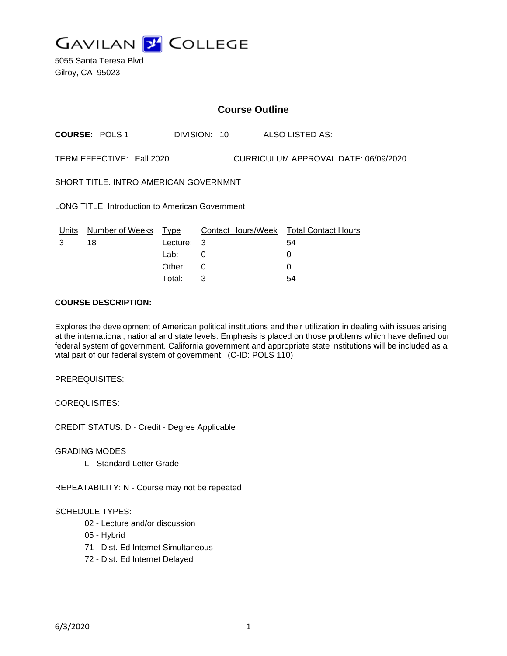

5055 Santa Teresa Blvd Gilroy, CA 95023

## **Course Outline**

**COURSE:** POLS 1 DIVISION: 10 ALSO LISTED AS:

TERM EFFECTIVE: Fall 2020 CURRICULUM APPROVAL DATE: 06/09/2020

SHORT TITLE: INTRO AMERICAN GOVERNMNT

LONG TITLE: Introduction to American Government

| Units | Number of Weeks Type |            | Contact Hours/Week Total Contact Hours |    |
|-------|----------------------|------------|----------------------------------------|----|
|       | 18                   | Lecture: 3 |                                        | 54 |
|       |                      | Lab:       |                                        |    |
|       |                      | Other: $0$ |                                        |    |
|       |                      | Total:     |                                        | 54 |

### **COURSE DESCRIPTION:**

Explores the development of American political institutions and their utilization in dealing with issues arising at the international, national and state levels. Emphasis is placed on those problems which have defined our federal system of government. California government and appropriate state institutions will be included as a vital part of our federal system of government. (C-ID: POLS 110)

PREREQUISITES:

COREQUISITES:

CREDIT STATUS: D - Credit - Degree Applicable

GRADING MODES

L - Standard Letter Grade

REPEATABILITY: N - Course may not be repeated

#### SCHEDULE TYPES:

- 02 Lecture and/or discussion
- 05 Hybrid
- 71 Dist. Ed Internet Simultaneous
- 72 Dist. Ed Internet Delayed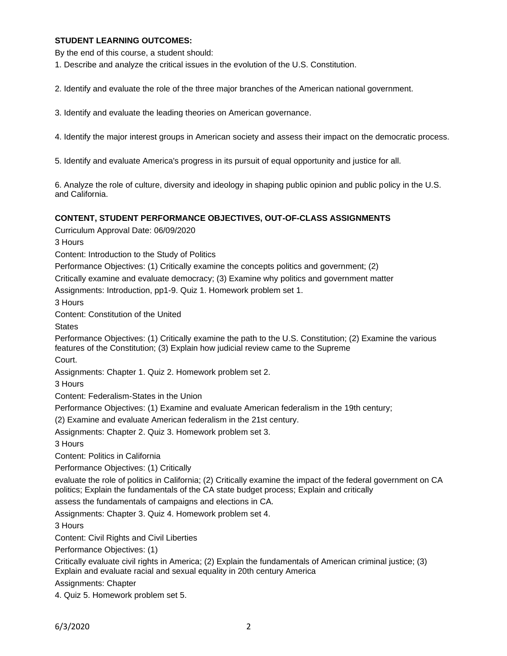## **STUDENT LEARNING OUTCOMES:**

By the end of this course, a student should:

1. Describe and analyze the critical issues in the evolution of the U.S. Constitution.

2. Identify and evaluate the role of the three major branches of the American national government.

3. Identify and evaluate the leading theories on American governance.

4. Identify the major interest groups in American society and assess their impact on the democratic process.

5. Identify and evaluate America's progress in its pursuit of equal opportunity and justice for all.

6. Analyze the role of culture, diversity and ideology in shaping public opinion and public policy in the U.S. and California.

#### **CONTENT, STUDENT PERFORMANCE OBJECTIVES, OUT-OF-CLASS ASSIGNMENTS**

Curriculum Approval Date: 06/09/2020

3 Hours

Content: Introduction to the Study of Politics

Performance Objectives: (1) Critically examine the concepts politics and government; (2)

Critically examine and evaluate democracy; (3) Examine why politics and government matter

Assignments: Introduction, pp1-9. Quiz 1. Homework problem set 1.

3 Hours

Content: Constitution of the United

**States** 

Performance Objectives: (1) Critically examine the path to the U.S. Constitution; (2) Examine the various features of the Constitution; (3) Explain how judicial review came to the Supreme

Court.

Assignments: Chapter 1. Quiz 2. Homework problem set 2.

3 Hours

Content: Federalism-States in the Union

Performance Objectives: (1) Examine and evaluate American federalism in the 19th century;

(2) Examine and evaluate American federalism in the 21st century.

Assignments: Chapter 2. Quiz 3. Homework problem set 3.

3 Hours

Content: Politics in California

Performance Objectives: (1) Critically

evaluate the role of politics in California; (2) Critically examine the impact of the federal government on CA politics; Explain the fundamentals of the CA state budget process; Explain and critically

assess the fundamentals of campaigns and elections in CA.

Assignments: Chapter 3. Quiz 4. Homework problem set 4.

3 Hours

Content: Civil Rights and Civil Liberties

Performance Objectives: (1)

Critically evaluate civil rights in America; (2) Explain the fundamentals of American criminal justice; (3) Explain and evaluate racial and sexual equality in 20th century America

Assignments: Chapter

4. Quiz 5. Homework problem set 5.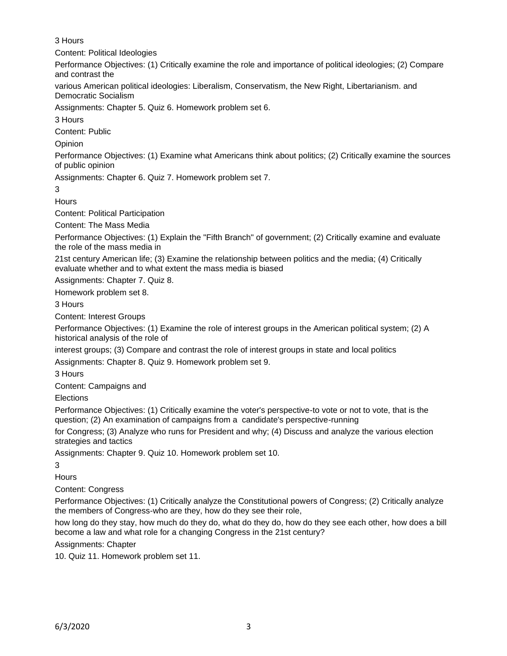# 3 Hours

Content: Political Ideologies

Performance Objectives: (1) Critically examine the role and importance of political ideologies; (2) Compare and contrast the

various American political ideologies: Liberalism, Conservatism, the New Right, Libertarianism. and Democratic Socialism

Assignments: Chapter 5. Quiz 6. Homework problem set 6.

3 Hours

Content: Public

**Opinion** 

Performance Objectives: (1) Examine what Americans think about politics; (2) Critically examine the sources of public opinion

Assignments: Chapter 6. Quiz 7. Homework problem set 7.

3

**Hours** 

Content: Political Participation

Content: The Mass Media

Performance Objectives: (1) Explain the "Fifth Branch" of government; (2) Critically examine and evaluate the role of the mass media in

21st century American life; (3) Examine the relationship between politics and the media; (4) Critically evaluate whether and to what extent the mass media is biased

Assignments: Chapter 7. Quiz 8.

Homework problem set 8.

3 Hours

Content: Interest Groups

Performance Objectives: (1) Examine the role of interest groups in the American political system; (2) A historical analysis of the role of

interest groups; (3) Compare and contrast the role of interest groups in state and local politics

Assignments: Chapter 8. Quiz 9. Homework problem set 9.

3 Hours

Content: Campaigns and

Elections

Performance Objectives: (1) Critically examine the voter's perspective-to vote or not to vote, that is the question; (2) An examination of campaigns from a candidate's perspective-running

for Congress; (3) Analyze who runs for President and why; (4) Discuss and analyze the various election strategies and tactics

Assignments: Chapter 9. Quiz 10. Homework problem set 10.

3

**Hours** 

Content: Congress

Performance Objectives: (1) Critically analyze the Constitutional powers of Congress; (2) Critically analyze the members of Congress-who are they, how do they see their role,

how long do they stay, how much do they do, what do they do, how do they see each other, how does a bill become a law and what role for a changing Congress in the 21st century?

Assignments: Chapter

10. Quiz 11. Homework problem set 11.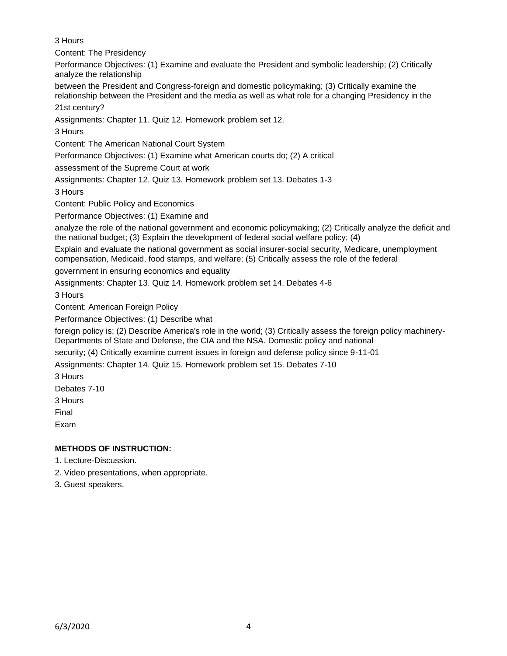3 Hours

Content: The Presidency

Performance Objectives: (1) Examine and evaluate the President and symbolic leadership; (2) Critically analyze the relationship

between the President and Congress-foreign and domestic policymaking; (3) Critically examine the relationship between the President and the media as well as what role for a changing Presidency in the 21st century?

Assignments: Chapter 11. Quiz 12. Homework problem set 12.

3 Hours

Content: The American National Court System

Performance Objectives: (1) Examine what American courts do; (2) A critical

assessment of the Supreme Court at work

Assignments: Chapter 12. Quiz 13. Homework problem set 13. Debates 1-3

3 Hours

Content: Public Policy and Economics

Performance Objectives: (1) Examine and

analyze the role of the national government and economic policymaking; (2) Critically analyze the deficit and the national budget; (3) Explain the development of federal social welfare policy; (4)

Explain and evaluate the national government as social insurer-social security, Medicare, unemployment compensation, Medicaid, food stamps, and welfare; (5) Critically assess the role of the federal

government in ensuring economics and equality

Assignments: Chapter 13. Quiz 14. Homework problem set 14. Debates 4-6

3 Hours

Content: American Foreign Policy

Performance Objectives: (1) Describe what

foreign policy is; (2) Describe America's role in the world; (3) Critically assess the foreign policy machinery-Departments of State and Defense, the CIA and the NSA. Domestic policy and national

security; (4) Critically examine current issues in foreign and defense policy since 9-11-01

Assignments: Chapter 14. Quiz 15. Homework problem set 15. Debates 7-10

3 Hours

Debates 7-10

3 Hours

Final

Exam

# **METHODS OF INSTRUCTION:**

- 1. Lecture-Discussion.
- 2. Video presentations, when appropriate.
- 3. Guest speakers.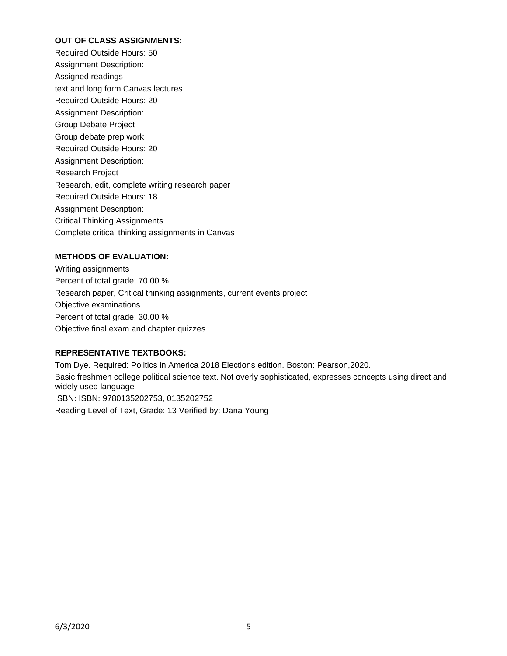## **OUT OF CLASS ASSIGNMENTS:**

Required Outside Hours: 50 Assignment Description: Assigned readings text and long form Canvas lectures Required Outside Hours: 20 Assignment Description: Group Debate Project Group debate prep work Required Outside Hours: 20 Assignment Description: Research Project Research, edit, complete writing research paper Required Outside Hours: 18 Assignment Description: Critical Thinking Assignments Complete critical thinking assignments in Canvas

## **METHODS OF EVALUATION:**

Writing assignments Percent of total grade: 70.00 % Research paper, Critical thinking assignments, current events project Objective examinations Percent of total grade: 30.00 % Objective final exam and chapter quizzes

## **REPRESENTATIVE TEXTBOOKS:**

Tom Dye. Required: Politics in America 2018 Elections edition. Boston: Pearson,2020. Basic freshmen college political science text. Not overly sophisticated, expresses concepts using direct and widely used language ISBN: ISBN: 9780135202753, 0135202752 Reading Level of Text, Grade: 13 Verified by: Dana Young